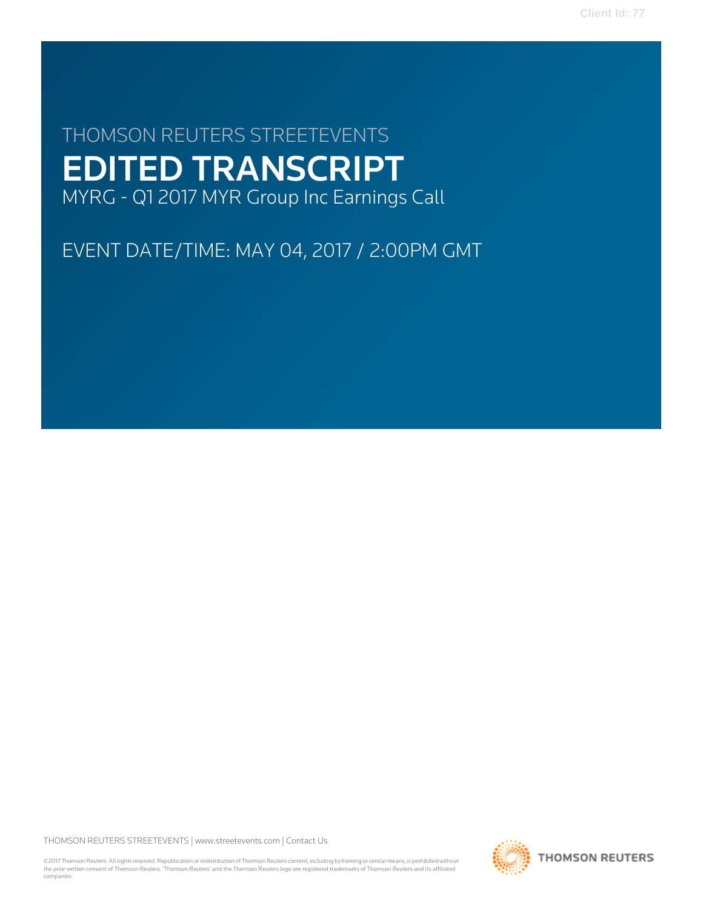# THOMSON REUTERS STREETEVENTS EDITED TRANSCRIPT MYRG - Q1 2017 MYR Group Inc Earnings Call

EVENT DATE/TIME: MAY 04, 2017 / 2:00PM GMT

THOMSON REUTERS STREETEVENTS | [www.streetevents.com](http://www.streetevents.com) | [Contact Us](http://www010.streetevents.com/contact.asp)

©2017 Thomson Reuters. All rights reserved. Republication or redistribution of Thomson Reuters content, including by framing or similar means, is prohibited without the prior written consent of Thomson Reuters. 'Thomson Reuters' and the Thomson Reuters logo are registered trademarks of Thomson Reuters and its affiliated companies.

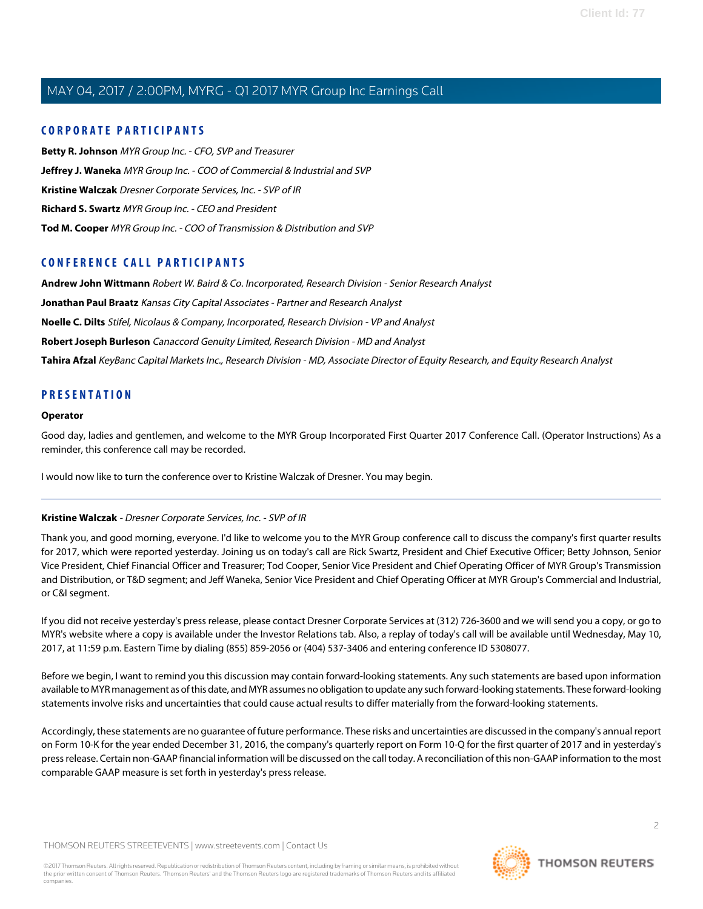# **CORPORATE PARTICIPANTS**

**[Betty R. Johnson](#page-2-0)** MYR Group Inc. - CFO, SVP and Treasurer **[Jeffrey J. Waneka](#page-5-0)** MYR Group Inc. - COO of Commercial & Industrial and SVP **[Kristine Walczak](#page-1-0)** Dresner Corporate Services, Inc. - SVP of IR **[Richard S. Swartz](#page-2-1)** MYR Group Inc. - CEO and President **[Tod M. Cooper](#page-3-0)** MYR Group Inc. - COO of Transmission & Distribution and SVP

# **CONFERENCE CALL PARTICIPANTS**

**[Andrew John Wittmann](#page-7-0)** Robert W. Baird & Co. Incorporated, Research Division - Senior Research Analyst

**[Jonathan Paul Braatz](#page-11-0)** Kansas City Capital Associates - Partner and Research Analyst

**[Noelle C. Dilts](#page-10-0)** Stifel, Nicolaus & Company, Incorporated, Research Division - VP and Analyst

**[Robert Joseph Burleson](#page-9-0)** Canaccord Genuity Limited, Research Division - MD and Analyst

**[Tahira Afzal](#page-7-1)** KeyBanc Capital Markets Inc., Research Division - MD, Associate Director of Equity Research, and Equity Research Analyst

# **PRESENTATION**

#### **Operator**

Good day, ladies and gentlemen, and welcome to the MYR Group Incorporated First Quarter 2017 Conference Call. (Operator Instructions) As a reminder, this conference call may be recorded.

<span id="page-1-0"></span>I would now like to turn the conference over to Kristine Walczak of Dresner. You may begin.

# **Kristine Walczak** - Dresner Corporate Services, Inc. - SVP of IR

Thank you, and good morning, everyone. I'd like to welcome you to the MYR Group conference call to discuss the company's first quarter results for 2017, which were reported yesterday. Joining us on today's call are Rick Swartz, President and Chief Executive Officer; Betty Johnson, Senior Vice President, Chief Financial Officer and Treasurer; Tod Cooper, Senior Vice President and Chief Operating Officer of MYR Group's Transmission and Distribution, or T&D segment; and Jeff Waneka, Senior Vice President and Chief Operating Officer at MYR Group's Commercial and Industrial, or C&I segment.

If you did not receive yesterday's press release, please contact Dresner Corporate Services at (312) 726-3600 and we will send you a copy, or go to MYR's website where a copy is available under the Investor Relations tab. Also, a replay of today's call will be available until Wednesday, May 10, 2017, at 11:59 p.m. Eastern Time by dialing (855) 859-2056 or (404) 537-3406 and entering conference ID 5308077.

Before we begin, I want to remind you this discussion may contain forward-looking statements. Any such statements are based upon information available to MYR management as of this date, and MYR assumes no obligation to update any such forward-looking statements. These forward-looking statements involve risks and uncertainties that could cause actual results to differ materially from the forward-looking statements.

Accordingly, these statements are no guarantee of future performance. These risks and uncertainties are discussed in the company's annual report on Form 10-K for the year ended December 31, 2016, the company's quarterly report on Form 10-Q for the first quarter of 2017 and in yesterday's press release. Certain non-GAAP financial information will be discussed on the call today. A reconciliation of this non-GAAP information to the most comparable GAAP measure is set forth in yesterday's press release.

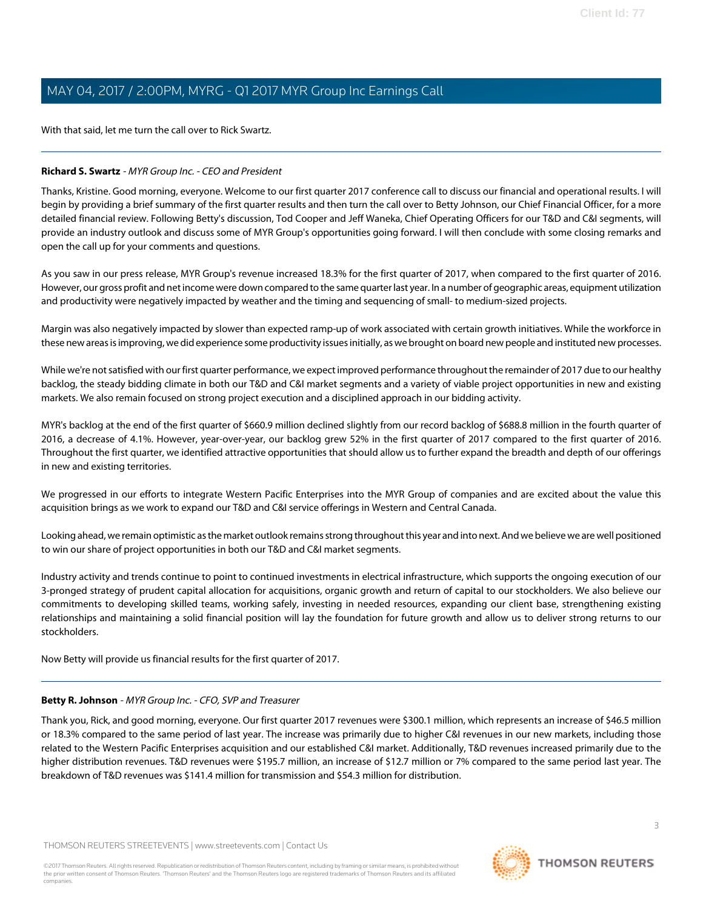With that said, let me turn the call over to Rick Swartz.

### <span id="page-2-1"></span>**Richard S. Swartz** - MYR Group Inc. - CEO and President

Thanks, Kristine. Good morning, everyone. Welcome to our first quarter 2017 conference call to discuss our financial and operational results. I will begin by providing a brief summary of the first quarter results and then turn the call over to Betty Johnson, our Chief Financial Officer, for a more detailed financial review. Following Betty's discussion, Tod Cooper and Jeff Waneka, Chief Operating Officers for our T&D and C&I segments, will provide an industry outlook and discuss some of MYR Group's opportunities going forward. I will then conclude with some closing remarks and open the call up for your comments and questions.

As you saw in our press release, MYR Group's revenue increased 18.3% for the first quarter of 2017, when compared to the first quarter of 2016. However, our gross profit and net income were down compared to the same quarter last year. In a number of geographic areas, equipment utilization and productivity were negatively impacted by weather and the timing and sequencing of small- to medium-sized projects.

Margin was also negatively impacted by slower than expected ramp-up of work associated with certain growth initiatives. While the workforce in these new areas is improving, we did experience some productivity issues initially, as we brought on board new people and instituted new processes.

While we're not satisfied with our first quarter performance, we expect improved performance throughout the remainder of 2017 due to our healthy backlog, the steady bidding climate in both our T&D and C&I market segments and a variety of viable project opportunities in new and existing markets. We also remain focused on strong project execution and a disciplined approach in our bidding activity.

MYR's backlog at the end of the first quarter of \$660.9 million declined slightly from our record backlog of \$688.8 million in the fourth quarter of 2016, a decrease of 4.1%. However, year-over-year, our backlog grew 52% in the first quarter of 2017 compared to the first quarter of 2016. Throughout the first quarter, we identified attractive opportunities that should allow us to further expand the breadth and depth of our offerings in new and existing territories.

We progressed in our efforts to integrate Western Pacific Enterprises into the MYR Group of companies and are excited about the value this acquisition brings as we work to expand our T&D and C&I service offerings in Western and Central Canada.

Looking ahead, we remain optimistic as the market outlook remains strong throughout this year and into next. And we believe we are well positioned to win our share of project opportunities in both our T&D and C&I market segments.

Industry activity and trends continue to point to continued investments in electrical infrastructure, which supports the ongoing execution of our 3-pronged strategy of prudent capital allocation for acquisitions, organic growth and return of capital to our stockholders. We also believe our commitments to developing skilled teams, working safely, investing in needed resources, expanding our client base, strengthening existing relationships and maintaining a solid financial position will lay the foundation for future growth and allow us to deliver strong returns to our stockholders.

<span id="page-2-0"></span>Now Betty will provide us financial results for the first quarter of 2017.

#### **Betty R. Johnson** - MYR Group Inc. - CFO, SVP and Treasurer

Thank you, Rick, and good morning, everyone. Our first quarter 2017 revenues were \$300.1 million, which represents an increase of \$46.5 million or 18.3% compared to the same period of last year. The increase was primarily due to higher C&I revenues in our new markets, including those related to the Western Pacific Enterprises acquisition and our established C&I market. Additionally, T&D revenues increased primarily due to the higher distribution revenues. T&D revenues were \$195.7 million, an increase of \$12.7 million or 7% compared to the same period last year. The breakdown of T&D revenues was \$141.4 million for transmission and \$54.3 million for distribution.

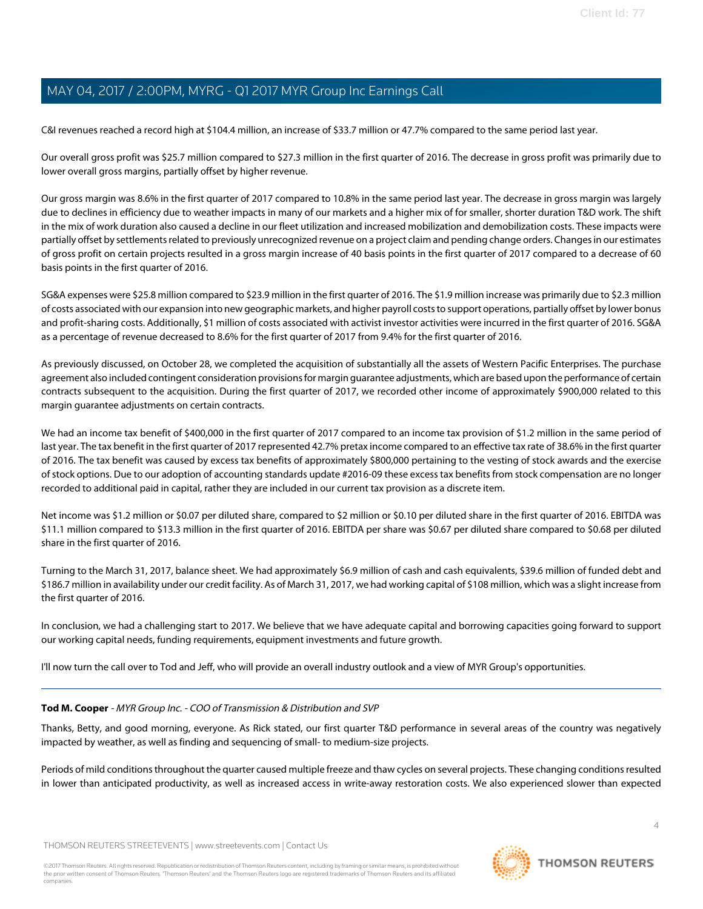C&I revenues reached a record high at \$104.4 million, an increase of \$33.7 million or 47.7% compared to the same period last year.

Our overall gross profit was \$25.7 million compared to \$27.3 million in the first quarter of 2016. The decrease in gross profit was primarily due to lower overall gross margins, partially offset by higher revenue.

Our gross margin was 8.6% in the first quarter of 2017 compared to 10.8% in the same period last year. The decrease in gross margin was largely due to declines in efficiency due to weather impacts in many of our markets and a higher mix of for smaller, shorter duration T&D work. The shift in the mix of work duration also caused a decline in our fleet utilization and increased mobilization and demobilization costs. These impacts were partially offset by settlements related to previously unrecognized revenue on a project claim and pending change orders. Changes in our estimates of gross profit on certain projects resulted in a gross margin increase of 40 basis points in the first quarter of 2017 compared to a decrease of 60 basis points in the first quarter of 2016.

SG&A expenses were \$25.8 million compared to \$23.9 million in the first quarter of 2016. The \$1.9 million increase was primarily due to \$2.3 million of costs associated with our expansion into new geographic markets, and higher payroll costs to support operations, partially offset by lower bonus and profit-sharing costs. Additionally, \$1 million of costs associated with activist investor activities were incurred in the first quarter of 2016. SG&A as a percentage of revenue decreased to 8.6% for the first quarter of 2017 from 9.4% for the first quarter of 2016.

As previously discussed, on October 28, we completed the acquisition of substantially all the assets of Western Pacific Enterprises. The purchase agreement also included contingent consideration provisions for margin guarantee adjustments, which are based upon the performance of certain contracts subsequent to the acquisition. During the first quarter of 2017, we recorded other income of approximately \$900,000 related to this margin guarantee adjustments on certain contracts.

We had an income tax benefit of \$400,000 in the first quarter of 2017 compared to an income tax provision of \$1.2 million in the same period of last year. The tax benefit in the first quarter of 2017 represented 42.7% pretax income compared to an effective tax rate of 38.6% in the first quarter of 2016. The tax benefit was caused by excess tax benefits of approximately \$800,000 pertaining to the vesting of stock awards and the exercise of stock options. Due to our adoption of accounting standards update #2016-09 these excess tax benefits from stock compensation are no longer recorded to additional paid in capital, rather they are included in our current tax provision as a discrete item.

Net income was \$1.2 million or \$0.07 per diluted share, compared to \$2 million or \$0.10 per diluted share in the first quarter of 2016. EBITDA was \$11.1 million compared to \$13.3 million in the first quarter of 2016. EBITDA per share was \$0.67 per diluted share compared to \$0.68 per diluted share in the first quarter of 2016.

Turning to the March 31, 2017, balance sheet. We had approximately \$6.9 million of cash and cash equivalents, \$39.6 million of funded debt and \$186.7 million in availability under our credit facility. As of March 31, 2017, we had working capital of \$108 million, which was a slight increase from the first quarter of 2016.

<span id="page-3-0"></span>In conclusion, we had a challenging start to 2017. We believe that we have adequate capital and borrowing capacities going forward to support our working capital needs, funding requirements, equipment investments and future growth.

I'll now turn the call over to Tod and Jeff, who will provide an overall industry outlook and a view of MYR Group's opportunities.

# **Tod M. Cooper** - MYR Group Inc. - COO of Transmission & Distribution and SVP

Thanks, Betty, and good morning, everyone. As Rick stated, our first quarter T&D performance in several areas of the country was negatively impacted by weather, as well as finding and sequencing of small- to medium-size projects.

Periods of mild conditions throughout the quarter caused multiple freeze and thaw cycles on several projects. These changing conditions resulted in lower than anticipated productivity, as well as increased access in write-away restoration costs. We also experienced slower than expected

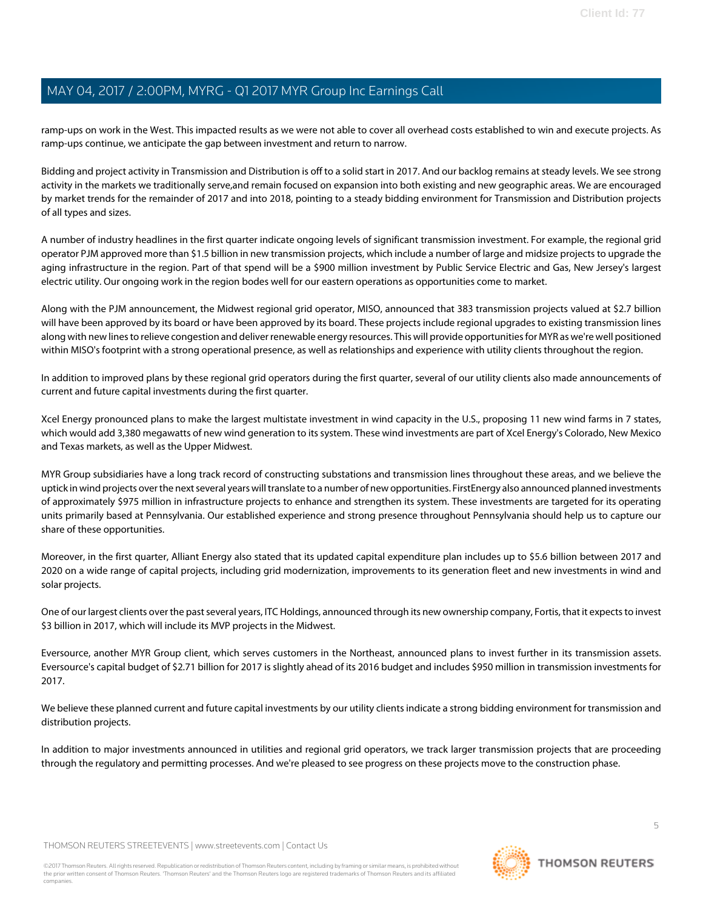ramp-ups on work in the West. This impacted results as we were not able to cover all overhead costs established to win and execute projects. As ramp-ups continue, we anticipate the gap between investment and return to narrow.

Bidding and project activity in Transmission and Distribution is off to a solid start in 2017. And our backlog remains at steady levels. We see strong activity in the markets we traditionally serve,and remain focused on expansion into both existing and new geographic areas. We are encouraged by market trends for the remainder of 2017 and into 2018, pointing to a steady bidding environment for Transmission and Distribution projects of all types and sizes.

A number of industry headlines in the first quarter indicate ongoing levels of significant transmission investment. For example, the regional grid operator PJM approved more than \$1.5 billion in new transmission projects, which include a number of large and midsize projects to upgrade the aging infrastructure in the region. Part of that spend will be a \$900 million investment by Public Service Electric and Gas, New Jersey's largest electric utility. Our ongoing work in the region bodes well for our eastern operations as opportunities come to market.

Along with the PJM announcement, the Midwest regional grid operator, MISO, announced that 383 transmission projects valued at \$2.7 billion will have been approved by its board or have been approved by its board. These projects include regional upgrades to existing transmission lines along with new lines to relieve congestion and deliver renewable energy resources. This will provide opportunities for MYR as we're well positioned within MISO's footprint with a strong operational presence, as well as relationships and experience with utility clients throughout the region.

In addition to improved plans by these regional grid operators during the first quarter, several of our utility clients also made announcements of current and future capital investments during the first quarter.

Xcel Energy pronounced plans to make the largest multistate investment in wind capacity in the U.S., proposing 11 new wind farms in 7 states, which would add 3,380 megawatts of new wind generation to its system. These wind investments are part of Xcel Energy's Colorado, New Mexico and Texas markets, as well as the Upper Midwest.

MYR Group subsidiaries have a long track record of constructing substations and transmission lines throughout these areas, and we believe the uptick in wind projects over the next several years will translate to a number of new opportunities. FirstEnergy also announced planned investments of approximately \$975 million in infrastructure projects to enhance and strengthen its system. These investments are targeted for its operating units primarily based at Pennsylvania. Our established experience and strong presence throughout Pennsylvania should help us to capture our share of these opportunities.

Moreover, in the first quarter, Alliant Energy also stated that its updated capital expenditure plan includes up to \$5.6 billion between 2017 and 2020 on a wide range of capital projects, including grid modernization, improvements to its generation fleet and new investments in wind and solar projects.

One of our largest clients over the past several years, ITC Holdings, announced through its new ownership company, Fortis, that it expects to invest \$3 billion in 2017, which will include its MVP projects in the Midwest.

Eversource, another MYR Group client, which serves customers in the Northeast, announced plans to invest further in its transmission assets. Eversource's capital budget of \$2.71 billion for 2017 is slightly ahead of its 2016 budget and includes \$950 million in transmission investments for 2017.

We believe these planned current and future capital investments by our utility clients indicate a strong bidding environment for transmission and distribution projects.

In addition to major investments announced in utilities and regional grid operators, we track larger transmission projects that are proceeding through the regulatory and permitting processes. And we're pleased to see progress on these projects move to the construction phase.

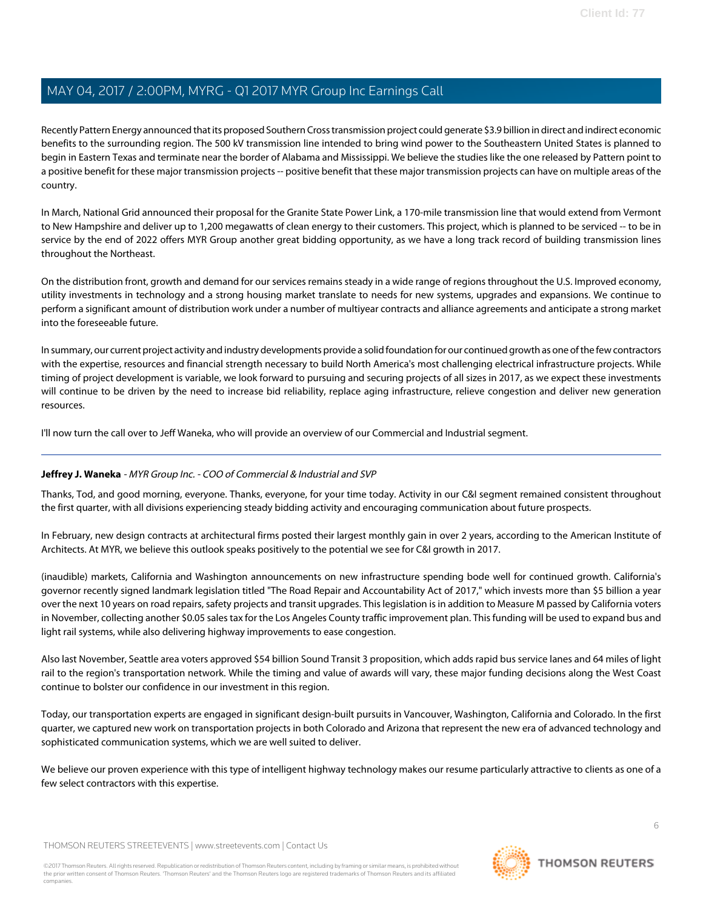Recently Pattern Energy announced that its proposed Southern Cross transmission project could generate \$3.9 billion in direct and indirect economic benefits to the surrounding region. The 500 kV transmission line intended to bring wind power to the Southeastern United States is planned to begin in Eastern Texas and terminate near the border of Alabama and Mississippi. We believe the studies like the one released by Pattern point to a positive benefit for these major transmission projects -- positive benefit that these major transmission projects can have on multiple areas of the country.

In March, National Grid announced their proposal for the Granite State Power Link, a 170-mile transmission line that would extend from Vermont to New Hampshire and deliver up to 1,200 megawatts of clean energy to their customers. This project, which is planned to be serviced -- to be in service by the end of 2022 offers MYR Group another great bidding opportunity, as we have a long track record of building transmission lines throughout the Northeast.

On the distribution front, growth and demand for our services remains steady in a wide range of regions throughout the U.S. Improved economy, utility investments in technology and a strong housing market translate to needs for new systems, upgrades and expansions. We continue to perform a significant amount of distribution work under a number of multiyear contracts and alliance agreements and anticipate a strong market into the foreseeable future.

In summary, our current project activity and industry developments provide a solid foundation for our continued growth as one of the few contractors with the expertise, resources and financial strength necessary to build North America's most challenging electrical infrastructure projects. While timing of project development is variable, we look forward to pursuing and securing projects of all sizes in 2017, as we expect these investments will continue to be driven by the need to increase bid reliability, replace aging infrastructure, relieve congestion and deliver new generation resources.

<span id="page-5-0"></span>I'll now turn the call over to Jeff Waneka, who will provide an overview of our Commercial and Industrial segment.

# **Jeffrey J. Waneka** - MYR Group Inc. - COO of Commercial & Industrial and SVP

Thanks, Tod, and good morning, everyone. Thanks, everyone, for your time today. Activity in our C&I segment remained consistent throughout the first quarter, with all divisions experiencing steady bidding activity and encouraging communication about future prospects.

In February, new design contracts at architectural firms posted their largest monthly gain in over 2 years, according to the American Institute of Architects. At MYR, we believe this outlook speaks positively to the potential we see for C&I growth in 2017.

(inaudible) markets, California and Washington announcements on new infrastructure spending bode well for continued growth. California's governor recently signed landmark legislation titled "The Road Repair and Accountability Act of 2017," which invests more than \$5 billion a year over the next 10 years on road repairs, safety projects and transit upgrades. This legislation is in addition to Measure M passed by California voters in November, collecting another \$0.05 sales tax for the Los Angeles County traffic improvement plan. This funding will be used to expand bus and light rail systems, while also delivering highway improvements to ease congestion.

Also last November, Seattle area voters approved \$54 billion Sound Transit 3 proposition, which adds rapid bus service lanes and 64 miles of light rail to the region's transportation network. While the timing and value of awards will vary, these major funding decisions along the West Coast continue to bolster our confidence in our investment in this region.

Today, our transportation experts are engaged in significant design-built pursuits in Vancouver, Washington, California and Colorado. In the first quarter, we captured new work on transportation projects in both Colorado and Arizona that represent the new era of advanced technology and sophisticated communication systems, which we are well suited to deliver.

We believe our proven experience with this type of intelligent highway technology makes our resume particularly attractive to clients as one of a few select contractors with this expertise.

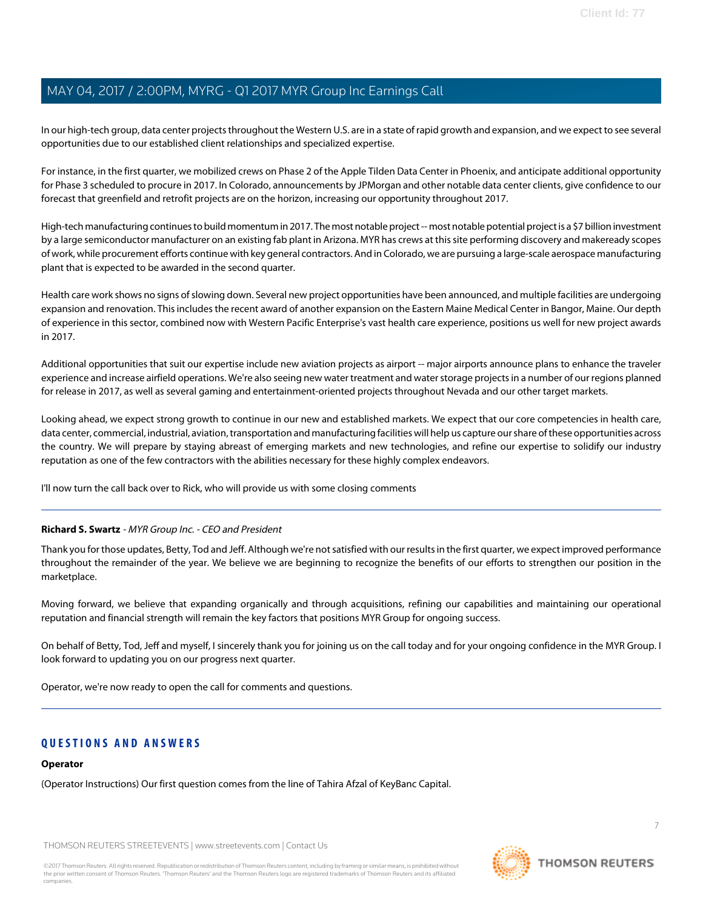In our high-tech group, data center projects throughout the Western U.S. are in a state of rapid growth and expansion, and we expect to see several opportunities due to our established client relationships and specialized expertise.

For instance, in the first quarter, we mobilized crews on Phase 2 of the Apple Tilden Data Center in Phoenix, and anticipate additional opportunity for Phase 3 scheduled to procure in 2017. In Colorado, announcements by JPMorgan and other notable data center clients, give confidence to our forecast that greenfield and retrofit projects are on the horizon, increasing our opportunity throughout 2017.

High-tech manufacturing continues to build momentum in 2017. The most notable project -- most notable potential project is a \$7 billion investment by a large semiconductor manufacturer on an existing fab plant in Arizona. MYR has crews at this site performing discovery and makeready scopes of work, while procurement efforts continue with key general contractors. And in Colorado, we are pursuing a large-scale aerospace manufacturing plant that is expected to be awarded in the second quarter.

Health care work shows no signs of slowing down. Several new project opportunities have been announced, and multiple facilities are undergoing expansion and renovation. This includes the recent award of another expansion on the Eastern Maine Medical Center in Bangor, Maine. Our depth of experience in this sector, combined now with Western Pacific Enterprise's vast health care experience, positions us well for new project awards in 2017.

Additional opportunities that suit our expertise include new aviation projects as airport -- major airports announce plans to enhance the traveler experience and increase airfield operations. We're also seeing new water treatment and water storage projects in a number of our regions planned for release in 2017, as well as several gaming and entertainment-oriented projects throughout Nevada and our other target markets.

Looking ahead, we expect strong growth to continue in our new and established markets. We expect that our core competencies in health care, data center, commercial, industrial, aviation, transportation and manufacturing facilities will help us capture our share of these opportunities across the country. We will prepare by staying abreast of emerging markets and new technologies, and refine our expertise to solidify our industry reputation as one of the few contractors with the abilities necessary for these highly complex endeavors.

I'll now turn the call back over to Rick, who will provide us with some closing comments

# **Richard S. Swartz** - MYR Group Inc. - CEO and President

Thank you for those updates, Betty, Tod and Jeff. Although we're not satisfied with our results in the first quarter, we expect improved performance throughout the remainder of the year. We believe we are beginning to recognize the benefits of our efforts to strengthen our position in the marketplace.

Moving forward, we believe that expanding organically and through acquisitions, refining our capabilities and maintaining our operational reputation and financial strength will remain the key factors that positions MYR Group for ongoing success.

On behalf of Betty, Tod, Jeff and myself, I sincerely thank you for joining us on the call today and for your ongoing confidence in the MYR Group. I look forward to updating you on our progress next quarter.

Operator, we're now ready to open the call for comments and questions.

# **QUESTIONS AND ANSWERS**

#### **Operator**

(Operator Instructions) Our first question comes from the line of Tahira Afzal of KeyBanc Capital.

THOMSON REUTERS STREETEVENTS | [www.streetevents.com](http://www.streetevents.com) | [Contact Us](http://www010.streetevents.com/contact.asp)

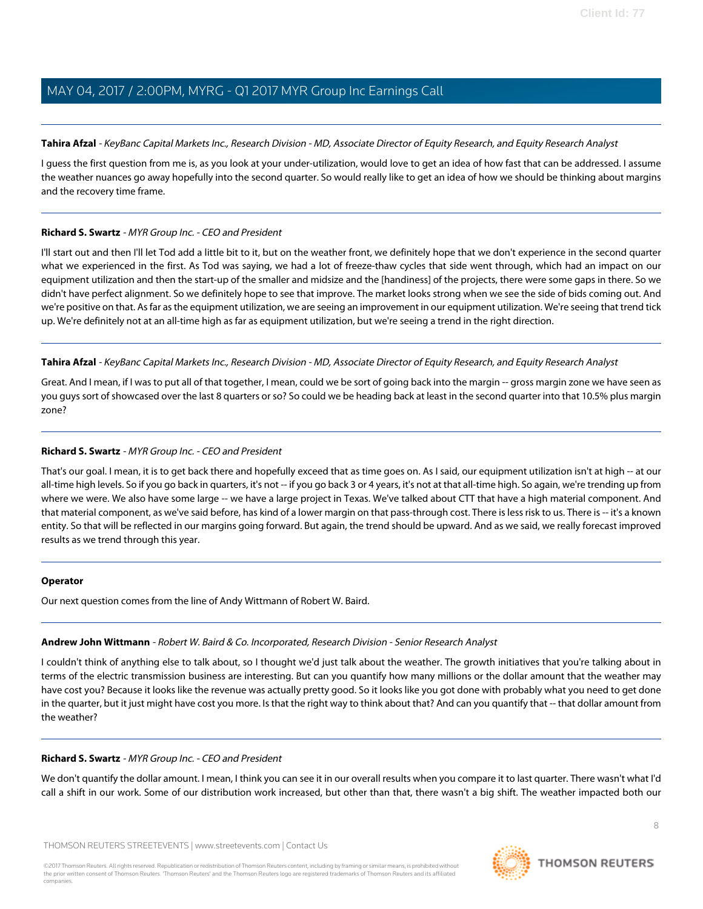### <span id="page-7-1"></span>**Tahira Afzal** - KeyBanc Capital Markets Inc., Research Division - MD, Associate Director of Equity Research, and Equity Research Analyst

I guess the first question from me is, as you look at your under-utilization, would love to get an idea of how fast that can be addressed. I assume the weather nuances go away hopefully into the second quarter. So would really like to get an idea of how we should be thinking about margins and the recovery time frame.

### **Richard S. Swartz** - MYR Group Inc. - CEO and President

I'll start out and then I'll let Tod add a little bit to it, but on the weather front, we definitely hope that we don't experience in the second quarter what we experienced in the first. As Tod was saying, we had a lot of freeze-thaw cycles that side went through, which had an impact on our equipment utilization and then the start-up of the smaller and midsize and the [handiness] of the projects, there were some gaps in there. So we didn't have perfect alignment. So we definitely hope to see that improve. The market looks strong when we see the side of bids coming out. And we're positive on that. As far as the equipment utilization, we are seeing an improvement in our equipment utilization. We're seeing that trend tick up. We're definitely not at an all-time high as far as equipment utilization, but we're seeing a trend in the right direction.

### **Tahira Afzal** - KeyBanc Capital Markets Inc., Research Division - MD, Associate Director of Equity Research, and Equity Research Analyst

Great. And I mean, if I was to put all of that together, I mean, could we be sort of going back into the margin -- gross margin zone we have seen as you guys sort of showcased over the last 8 quarters or so? So could we be heading back at least in the second quarter into that 10.5% plus margin zone?

# **Richard S. Swartz** - MYR Group Inc. - CEO and President

That's our goal. I mean, it is to get back there and hopefully exceed that as time goes on. As I said, our equipment utilization isn't at high -- at our all-time high levels. So if you go back in quarters, it's not -- if you go back 3 or 4 years, it's not at that all-time high. So again, we're trending up from where we were. We also have some large -- we have a large project in Texas. We've talked about CTT that have a high material component. And that material component, as we've said before, has kind of a lower margin on that pass-through cost. There is less risk to us. There is -- it's a known entity. So that will be reflected in our margins going forward. But again, the trend should be upward. And as we said, we really forecast improved results as we trend through this year.

# <span id="page-7-0"></span>**Operator**

Our next question comes from the line of Andy Wittmann of Robert W. Baird.

# **Andrew John Wittmann** - Robert W. Baird & Co. Incorporated, Research Division - Senior Research Analyst

I couldn't think of anything else to talk about, so I thought we'd just talk about the weather. The growth initiatives that you're talking about in terms of the electric transmission business are interesting. But can you quantify how many millions or the dollar amount that the weather may have cost you? Because it looks like the revenue was actually pretty good. So it looks like you got done with probably what you need to get done in the quarter, but it just might have cost you more. Is that the right way to think about that? And can you quantify that -- that dollar amount from the weather?

# **Richard S. Swartz** - MYR Group Inc. - CEO and President

We don't quantify the dollar amount. I mean, I think you can see it in our overall results when you compare it to last quarter. There wasn't what I'd call a shift in our work. Some of our distribution work increased, but other than that, there wasn't a big shift. The weather impacted both our

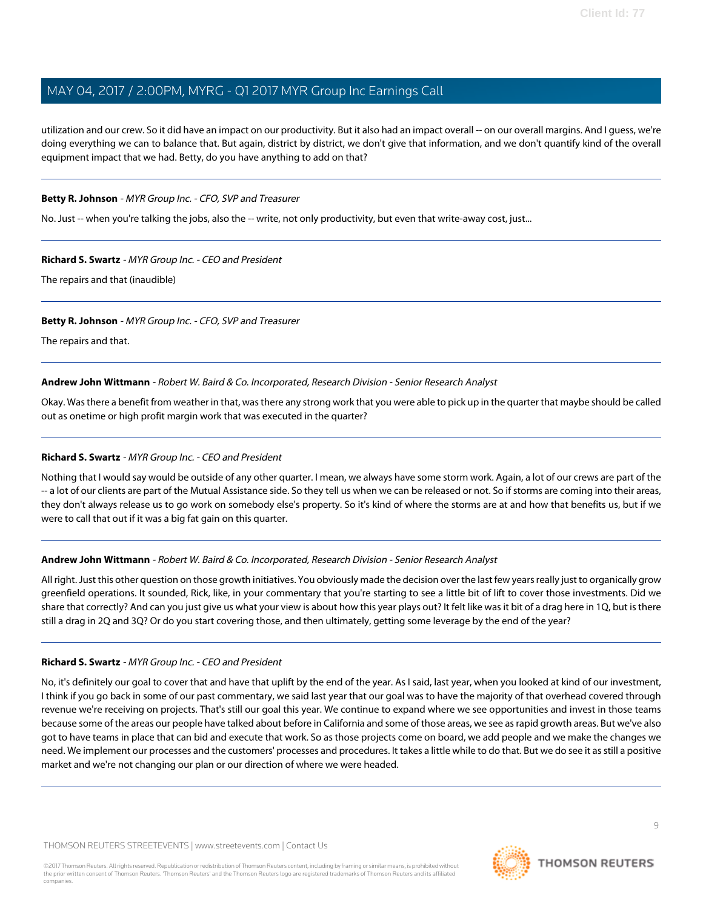utilization and our crew. So it did have an impact on our productivity. But it also had an impact overall -- on our overall margins. And I guess, we're doing everything we can to balance that. But again, district by district, we don't give that information, and we don't quantify kind of the overall equipment impact that we had. Betty, do you have anything to add on that?

### **Betty R. Johnson** - MYR Group Inc. - CFO, SVP and Treasurer

No. Just -- when you're talking the jobs, also the -- write, not only productivity, but even that write-away cost, just...

### **Richard S. Swartz** - MYR Group Inc. - CEO and President

The repairs and that (inaudible)

### **Betty R. Johnson** - MYR Group Inc. - CFO, SVP and Treasurer

The repairs and that.

#### **Andrew John Wittmann** - Robert W. Baird & Co. Incorporated, Research Division - Senior Research Analyst

Okay. Was there a benefit from weather in that, was there any strong work that you were able to pick up in the quarter that maybe should be called out as onetime or high profit margin work that was executed in the quarter?

#### **Richard S. Swartz** - MYR Group Inc. - CEO and President

Nothing that I would say would be outside of any other quarter. I mean, we always have some storm work. Again, a lot of our crews are part of the -- a lot of our clients are part of the Mutual Assistance side. So they tell us when we can be released or not. So if storms are coming into their areas, they don't always release us to go work on somebody else's property. So it's kind of where the storms are at and how that benefits us, but if we were to call that out if it was a big fat gain on this quarter.

# **Andrew John Wittmann** - Robert W. Baird & Co. Incorporated, Research Division - Senior Research Analyst

All right. Just this other question on those growth initiatives. You obviously made the decision over the last few years really just to organically grow greenfield operations. It sounded, Rick, like, in your commentary that you're starting to see a little bit of lift to cover those investments. Did we share that correctly? And can you just give us what your view is about how this year plays out? It felt like was it bit of a drag here in 1Q, but is there still a drag in 2Q and 3Q? Or do you start covering those, and then ultimately, getting some leverage by the end of the year?

#### **Richard S. Swartz** - MYR Group Inc. - CEO and President

No, it's definitely our goal to cover that and have that uplift by the end of the year. As I said, last year, when you looked at kind of our investment, I think if you go back in some of our past commentary, we said last year that our goal was to have the majority of that overhead covered through revenue we're receiving on projects. That's still our goal this year. We continue to expand where we see opportunities and invest in those teams because some of the areas our people have talked about before in California and some of those areas, we see as rapid growth areas. But we've also got to have teams in place that can bid and execute that work. So as those projects come on board, we add people and we make the changes we need. We implement our processes and the customers' processes and procedures. It takes a little while to do that. But we do see it as still a positive market and we're not changing our plan or our direction of where we were headed.

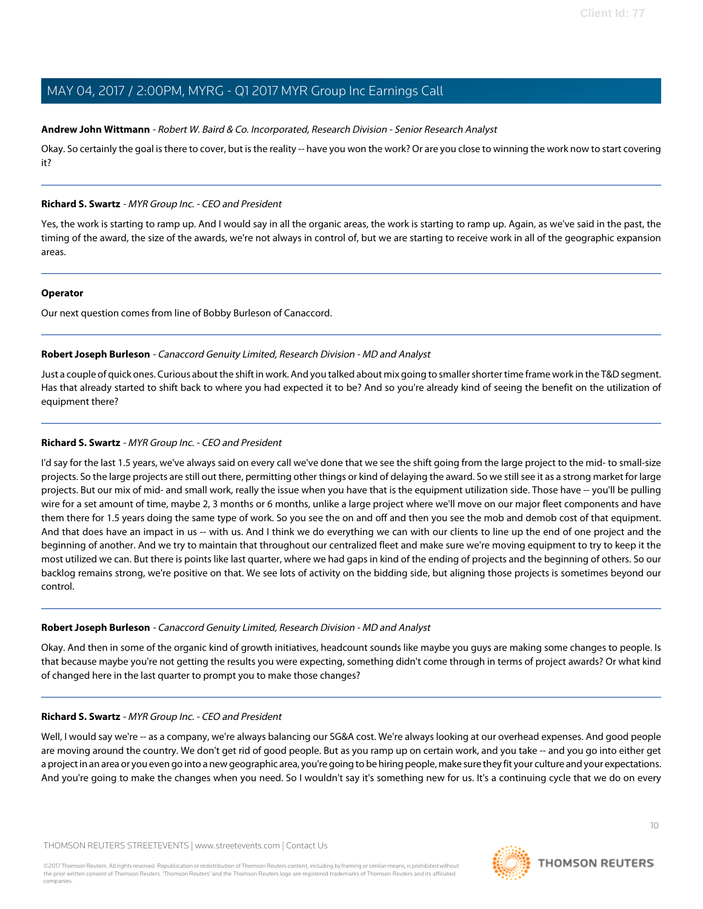# **Andrew John Wittmann** - Robert W. Baird & Co. Incorporated, Research Division - Senior Research Analyst

Okay. So certainly the goal is there to cover, but is the reality -- have you won the work? Or are you close to winning the work now to start covering it?

#### **Richard S. Swartz** - MYR Group Inc. - CEO and President

Yes, the work is starting to ramp up. And I would say in all the organic areas, the work is starting to ramp up. Again, as we've said in the past, the timing of the award, the size of the awards, we're not always in control of, but we are starting to receive work in all of the geographic expansion areas.

#### **Operator**

<span id="page-9-0"></span>Our next question comes from line of Bobby Burleson of Canaccord.

### **Robert Joseph Burleson** - Canaccord Genuity Limited, Research Division - MD and Analyst

Just a couple of quick ones. Curious about the shift in work. And you talked about mix going to smaller shorter time frame work in the T&D segment. Has that already started to shift back to where you had expected it to be? And so you're already kind of seeing the benefit on the utilization of equipment there?

# **Richard S. Swartz** - MYR Group Inc. - CEO and President

I'd say for the last 1.5 years, we've always said on every call we've done that we see the shift going from the large project to the mid- to small-size projects. So the large projects are still out there, permitting other things or kind of delaying the award. So we still see it as a strong market for large projects. But our mix of mid- and small work, really the issue when you have that is the equipment utilization side. Those have -- you'll be pulling wire for a set amount of time, maybe 2, 3 months or 6 months, unlike a large project where we'll move on our major fleet components and have them there for 1.5 years doing the same type of work. So you see the on and off and then you see the mob and demob cost of that equipment. And that does have an impact in us -- with us. And I think we do everything we can with our clients to line up the end of one project and the beginning of another. And we try to maintain that throughout our centralized fleet and make sure we're moving equipment to try to keep it the most utilized we can. But there is points like last quarter, where we had gaps in kind of the ending of projects and the beginning of others. So our backlog remains strong, we're positive on that. We see lots of activity on the bidding side, but aligning those projects is sometimes beyond our control.

#### **Robert Joseph Burleson** - Canaccord Genuity Limited, Research Division - MD and Analyst

Okay. And then in some of the organic kind of growth initiatives, headcount sounds like maybe you guys are making some changes to people. Is that because maybe you're not getting the results you were expecting, something didn't come through in terms of project awards? Or what kind of changed here in the last quarter to prompt you to make those changes?

# **Richard S. Swartz** - MYR Group Inc. - CEO and President

Well, I would say we're -- as a company, we're always balancing our SG&A cost. We're always looking at our overhead expenses. And good people are moving around the country. We don't get rid of good people. But as you ramp up on certain work, and you take -- and you go into either get a project in an area or you even go into a new geographic area, you're going to be hiring people, make sure they fit your culture and your expectations. And you're going to make the changes when you need. So I wouldn't say it's something new for us. It's a continuing cycle that we do on every

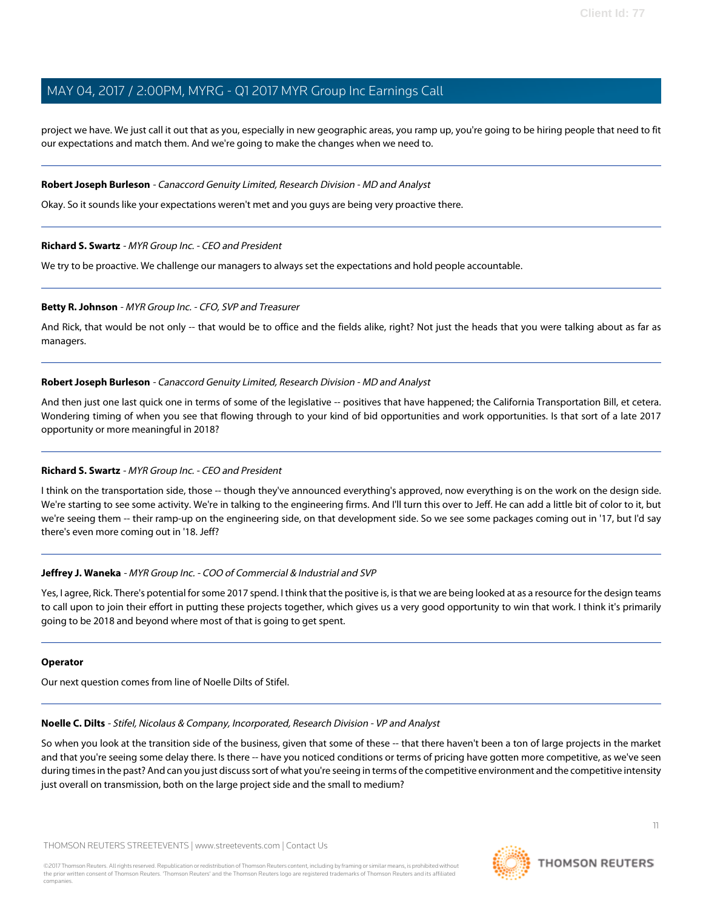project we have. We just call it out that as you, especially in new geographic areas, you ramp up, you're going to be hiring people that need to fit our expectations and match them. And we're going to make the changes when we need to.

#### **Robert Joseph Burleson** - Canaccord Genuity Limited, Research Division - MD and Analyst

Okay. So it sounds like your expectations weren't met and you guys are being very proactive there.

#### **Richard S. Swartz** - MYR Group Inc. - CEO and President

We try to be proactive. We challenge our managers to always set the expectations and hold people accountable.

#### **Betty R. Johnson** - MYR Group Inc. - CFO, SVP and Treasurer

And Rick, that would be not only -- that would be to office and the fields alike, right? Not just the heads that you were talking about as far as managers.

### **Robert Joseph Burleson** - Canaccord Genuity Limited, Research Division - MD and Analyst

And then just one last quick one in terms of some of the legislative -- positives that have happened; the California Transportation Bill, et cetera. Wondering timing of when you see that flowing through to your kind of bid opportunities and work opportunities. Is that sort of a late 2017 opportunity or more meaningful in 2018?

# **Richard S. Swartz** - MYR Group Inc. - CEO and President

I think on the transportation side, those -- though they've announced everything's approved, now everything is on the work on the design side. We're starting to see some activity. We're in talking to the engineering firms. And I'll turn this over to Jeff. He can add a little bit of color to it, but we're seeing them -- their ramp-up on the engineering side, on that development side. So we see some packages coming out in '17, but I'd say there's even more coming out in '18. Jeff?

#### **Jeffrey J. Waneka** - MYR Group Inc. - COO of Commercial & Industrial and SVP

Yes, I agree, Rick. There's potential for some 2017 spend. I think that the positive is, is that we are being looked at as a resource for the design teams to call upon to join their effort in putting these projects together, which gives us a very good opportunity to win that work. I think it's primarily going to be 2018 and beyond where most of that is going to get spent.

#### <span id="page-10-0"></span>**Operator**

Our next question comes from line of Noelle Dilts of Stifel.

#### **Noelle C. Dilts** - Stifel, Nicolaus & Company, Incorporated, Research Division - VP and Analyst

So when you look at the transition side of the business, given that some of these -- that there haven't been a ton of large projects in the market and that you're seeing some delay there. Is there -- have you noticed conditions or terms of pricing have gotten more competitive, as we've seen during times in the past? And can you just discuss sort of what you're seeing in terms of the competitive environment and the competitive intensity just overall on transmission, both on the large project side and the small to medium?

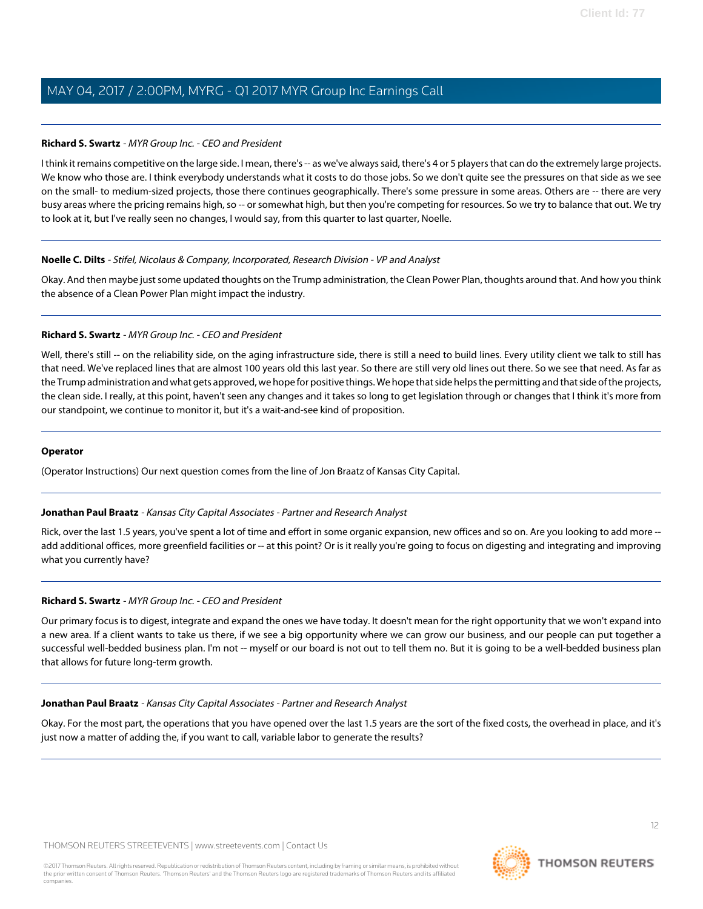# **Richard S. Swartz** - MYR Group Inc. - CEO and President

I think it remains competitive on the large side. I mean, there's -- as we've always said, there's 4 or 5 players that can do the extremely large projects. We know who those are. I think everybody understands what it costs to do those jobs. So we don't quite see the pressures on that side as we see on the small- to medium-sized projects, those there continues geographically. There's some pressure in some areas. Others are -- there are very busy areas where the pricing remains high, so -- or somewhat high, but then you're competing for resources. So we try to balance that out. We try to look at it, but I've really seen no changes, I would say, from this quarter to last quarter, Noelle.

### **Noelle C. Dilts** - Stifel, Nicolaus & Company, Incorporated, Research Division - VP and Analyst

Okay. And then maybe just some updated thoughts on the Trump administration, the Clean Power Plan, thoughts around that. And how you think the absence of a Clean Power Plan might impact the industry.

# **Richard S. Swartz** - MYR Group Inc. - CEO and President

Well, there's still -- on the reliability side, on the aging infrastructure side, there is still a need to build lines. Every utility client we talk to still has that need. We've replaced lines that are almost 100 years old this last year. So there are still very old lines out there. So we see that need. As far as the Trump administration and what gets approved, we hope for positive things. We hope that side helps the permitting and that side of the projects, the clean side. I really, at this point, haven't seen any changes and it takes so long to get legislation through or changes that I think it's more from our standpoint, we continue to monitor it, but it's a wait-and-see kind of proposition.

#### **Operator**

<span id="page-11-0"></span>(Operator Instructions) Our next question comes from the line of Jon Braatz of Kansas City Capital.

#### **Jonathan Paul Braatz** - Kansas City Capital Associates - Partner and Research Analyst

Rick, over the last 1.5 years, you've spent a lot of time and effort in some organic expansion, new offices and so on. Are you looking to add more - add additional offices, more greenfield facilities or -- at this point? Or is it really you're going to focus on digesting and integrating and improving what you currently have?

# **Richard S. Swartz** - MYR Group Inc. - CEO and President

Our primary focus is to digest, integrate and expand the ones we have today. It doesn't mean for the right opportunity that we won't expand into a new area. If a client wants to take us there, if we see a big opportunity where we can grow our business, and our people can put together a successful well-bedded business plan. I'm not -- myself or our board is not out to tell them no. But it is going to be a well-bedded business plan that allows for future long-term growth.

#### **Jonathan Paul Braatz** - Kansas City Capital Associates - Partner and Research Analyst

Okay. For the most part, the operations that you have opened over the last 1.5 years are the sort of the fixed costs, the overhead in place, and it's just now a matter of adding the, if you want to call, variable labor to generate the results?

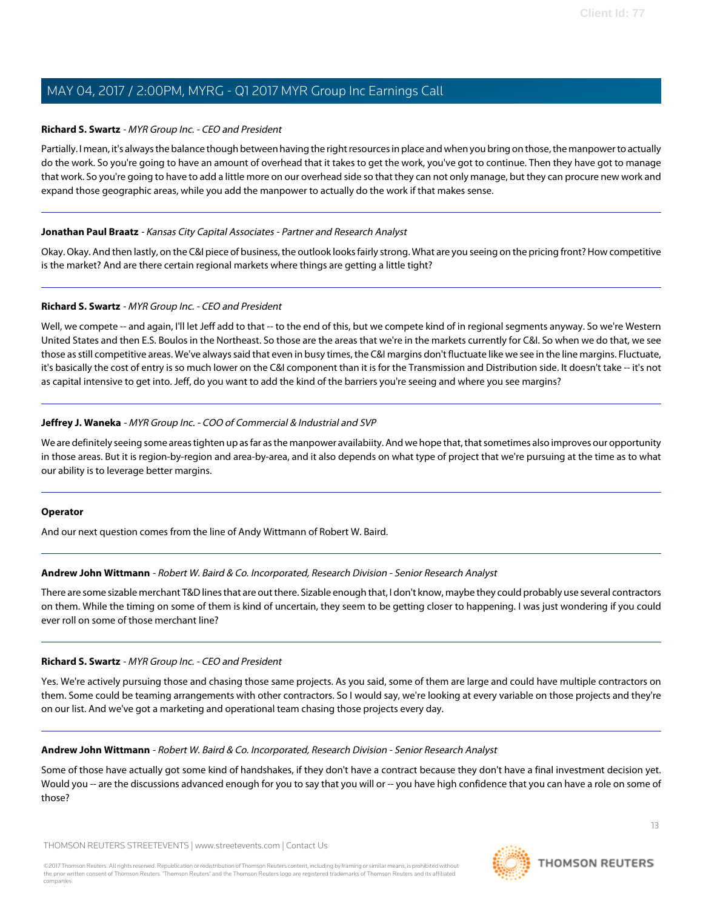### **Richard S. Swartz** - MYR Group Inc. - CEO and President

Partially. I mean, it's always the balance though between having the right resources in place and when you bring on those, the manpower to actually do the work. So you're going to have an amount of overhead that it takes to get the work, you've got to continue. Then they have got to manage that work. So you're going to have to add a little more on our overhead side so that they can not only manage, but they can procure new work and expand those geographic areas, while you add the manpower to actually do the work if that makes sense.

### **Jonathan Paul Braatz** - Kansas City Capital Associates - Partner and Research Analyst

Okay. Okay. And then lastly, on the C&I piece of business, the outlook looks fairly strong. What are you seeing on the pricing front? How competitive is the market? And are there certain regional markets where things are getting a little tight?

### **Richard S. Swartz** - MYR Group Inc. - CEO and President

Well, we compete -- and again, I'll let Jeff add to that -- to the end of this, but we compete kind of in regional segments anyway. So we're Western United States and then E.S. Boulos in the Northeast. So those are the areas that we're in the markets currently for C&I. So when we do that, we see those as still competitive areas. We've always said that even in busy times, the C&I margins don't fluctuate like we see in the line margins. Fluctuate, it's basically the cost of entry is so much lower on the C&I component than it is for the Transmission and Distribution side. It doesn't take -- it's not as capital intensive to get into. Jeff, do you want to add the kind of the barriers you're seeing and where you see margins?

### **Jeffrey J. Waneka** - MYR Group Inc. - COO of Commercial & Industrial and SVP

We are definitely seeing some areas tighten up as far as the manpower availabiity. And we hope that, that sometimes also improves our opportunity in those areas. But it is region-by-region and area-by-area, and it also depends on what type of project that we're pursuing at the time as to what our ability is to leverage better margins.

#### **Operator**

And our next question comes from the line of Andy Wittmann of Robert W. Baird.

#### **Andrew John Wittmann** - Robert W. Baird & Co. Incorporated, Research Division - Senior Research Analyst

There are some sizable merchant T&D lines that are out there. Sizable enough that, I don't know, maybe they could probably use several contractors on them. While the timing on some of them is kind of uncertain, they seem to be getting closer to happening. I was just wondering if you could ever roll on some of those merchant line?

#### **Richard S. Swartz** - MYR Group Inc. - CEO and President

Yes. We're actively pursuing those and chasing those same projects. As you said, some of them are large and could have multiple contractors on them. Some could be teaming arrangements with other contractors. So I would say, we're looking at every variable on those projects and they're on our list. And we've got a marketing and operational team chasing those projects every day.

#### **Andrew John Wittmann** - Robert W. Baird & Co. Incorporated, Research Division - Senior Research Analyst

Some of those have actually got some kind of handshakes, if they don't have a contract because they don't have a final investment decision yet. Would you -- are the discussions advanced enough for you to say that you will or -- you have high confidence that you can have a role on some of those?